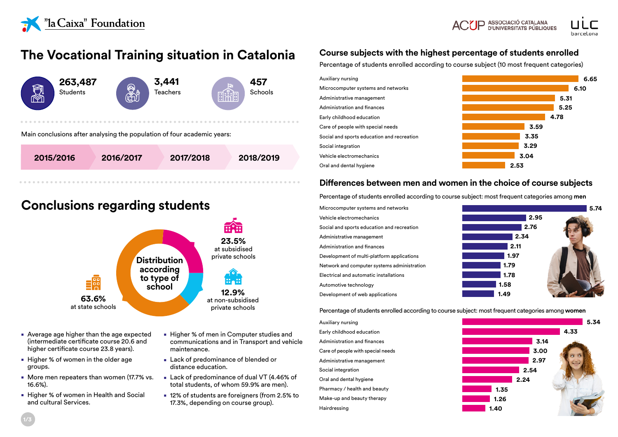



# **The Vocational Training situation in Catalonia**



## **Conclusions regarding students**



- Average age higher than the age expected (intermediate certificate course 20.6 and higher certificate course 23.8 years).
- Higher % of women in the older age groups.
- More men repeaters than women (17.7% vs. 16.6%).
- Higher % of women in Health and Social and cultural Services.
- Higher % of men in Computer studies and communications and in Transport and vehicle maintenance.
- Lack of predominance of blended or distance education.
- Lack of predominance of dual VT (4.46% of total students, of whom 59.9% are men).
- 12% of students are foreigners (from 2.5% to 17.3%, depending on course group).

### **Course subjects with the highest percentage of students enrolled**

Percentage of students enrolled according to course subject (10 most frequent categories)



### **Differences between men and women in the choice of course subjects**

Percentage of students enrolled according to course subject: most frequent categories among **men**

Microcomputer systems and networks Vehicle electromechanics Social and sports education and recreation Administrative management Administration and finances Development of multi-platform applications Network and computer systems administration Electrical and automatic installations Automotive technology Development of web applications



Percentage of students enrolled according to course subject: most frequent categories among **women**

Auxiliary nursing Early childhood education Administration and finances Care of people with special needs Administrative management Social integration Oral and dental hygiene Pharmacy / health and beauty Make-up and beauty therapy Hairdressing

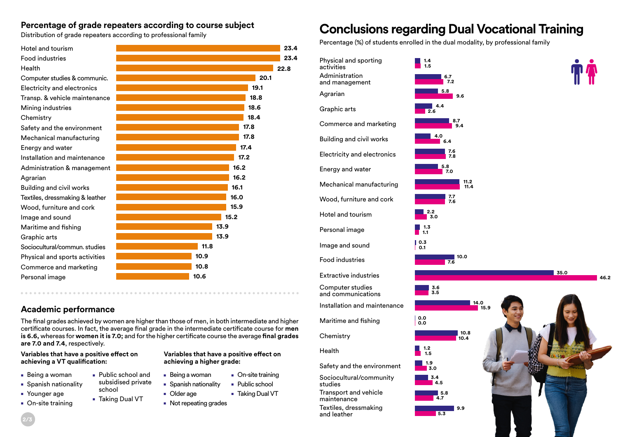### **Percentage of grade repeaters according to course subject**

Distribution of grade repeaters according to professional family

| Hotel and tourism               | 23.4 |  |
|---------------------------------|------|--|
| <b>Food industries</b>          | 23.4 |  |
| Health                          | 22.8 |  |
| Computer studies & communic.    | 20.1 |  |
| Electricity and electronics     | 19.1 |  |
| Transp. & vehicle maintenance   | 18.8 |  |
| Mining industries               | 18.6 |  |
| Chemistry                       | 18.4 |  |
| Safety and the environment      | 17.8 |  |
| Mechanical manufacturing        | 17.8 |  |
| Energy and water                | 17.4 |  |
| Installation and maintenance    | 17.2 |  |
| Administration & management     | 16.2 |  |
| Agrarian                        | 16.2 |  |
| <b>Building and civil works</b> | 16.1 |  |
| Textiles, dressmaking & leather | 16.0 |  |
| Wood, furniture and cork        | 15.9 |  |
| Image and sound                 | 15.2 |  |
| Maritime and fishing            | 13.9 |  |
| Graphic arts                    | 13.9 |  |
| Sociocultural/commun. studies   | 11.8 |  |
| Physical and sports activities  | 10.9 |  |
| Commerce and marketing          | 10.8 |  |
| Personal image                  | 10.6 |  |
|                                 |      |  |

### **Academic performance**

The final grades achieved by women are higher than those of men, in both intermediate and higher certificate courses. In fact, the average final grade in the intermediate certificate course for **men is 6.6,** whereas for **women it is 7.0;** and for the higher certificate course the average **final grades are 7.0 and 7.4**, respectively.

### **Variables that have a positive effect on achieving a VT qualification:**

- Being a woman
- Spanish nationality
- Younger age
- On-site training
- **achieving a higher grade:** ■ Being a woman
- Public school and subsidised private
- school
	- Taking Dual VT
- Older age ■ Taking Dual VT

**Variables that have a positive effect on** 

■ On-site training ■ Public school

■ Not repeating grades

■ Spanish nationality

# **Conclusions regarding Dual Vocational Training**

Percentage (%) of students enrolled in the dual modality, by professional family